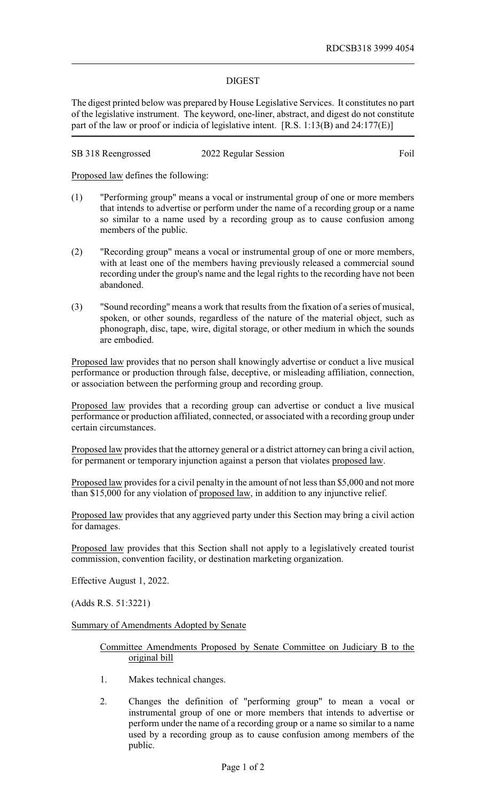## DIGEST

The digest printed below was prepared by House Legislative Services. It constitutes no part of the legislative instrument. The keyword, one-liner, abstract, and digest do not constitute part of the law or proof or indicia of legislative intent. [R.S. 1:13(B) and 24:177(E)]

| SB 318 Reengrossed | 2022 Regular Session | Foil |
|--------------------|----------------------|------|
|--------------------|----------------------|------|

Proposed law defines the following:

- (1) "Performing group" means a vocal or instrumental group of one or more members that intends to advertise or perform under the name of a recording group or a name so similar to a name used by a recording group as to cause confusion among members of the public.
- (2) "Recording group" means a vocal or instrumental group of one or more members, with at least one of the members having previously released a commercial sound recording under the group's name and the legal rights to the recording have not been abandoned.
- (3) "Sound recording" means a work that results from the fixation of a series of musical, spoken, or other sounds, regardless of the nature of the material object, such as phonograph, disc, tape, wire, digital storage, or other medium in which the sounds are embodied.

Proposed law provides that no person shall knowingly advertise or conduct a live musical performance or production through false, deceptive, or misleading affiliation, connection, or association between the performing group and recording group.

Proposed law provides that a recording group can advertise or conduct a live musical performance or production affiliated, connected, or associated with a recording group under certain circumstances.

Proposed law provides that the attorney general or a district attorney can bring a civil action, for permanent or temporary injunction against a person that violates proposed law.

Proposed law provides for a civil penalty in the amount of not less than \$5,000 and not more than \$15,000 for any violation of proposed law, in addition to any injunctive relief.

Proposed law provides that any aggrieved party under this Section may bring a civil action for damages.

Proposed law provides that this Section shall not apply to a legislatively created tourist commission, convention facility, or destination marketing organization.

Effective August 1, 2022.

(Adds R.S. 51:3221)

Summary of Amendments Adopted by Senate

Committee Amendments Proposed by Senate Committee on Judiciary B to the original bill

- 1. Makes technical changes.
- 2. Changes the definition of "performing group" to mean a vocal or instrumental group of one or more members that intends to advertise or perform under the name of a recording group or a name so similar to a name used by a recording group as to cause confusion among members of the public.